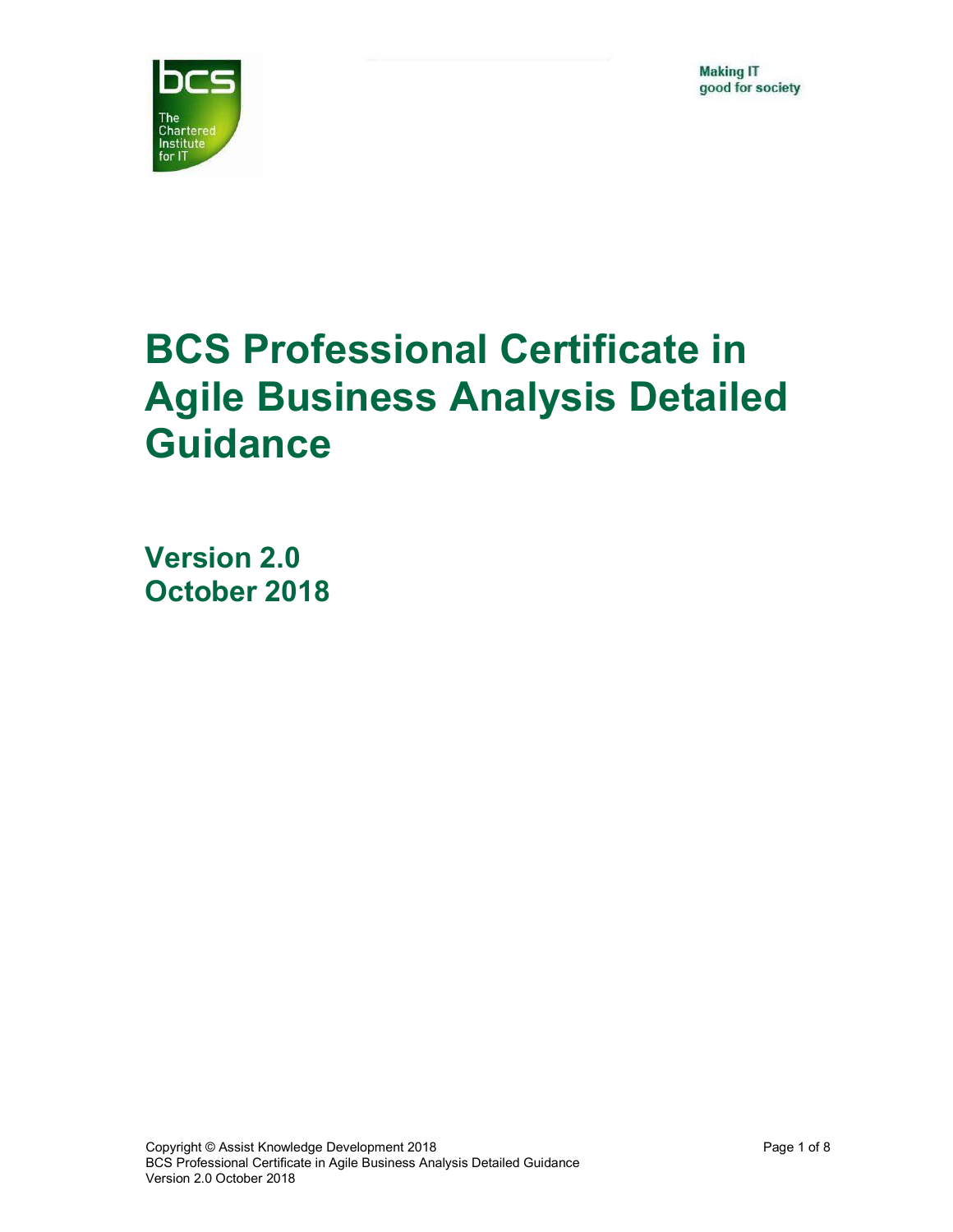

# BCS Professional Certificate in Agile Business Analysis Detailed Guidance

Version 2.0 October 2018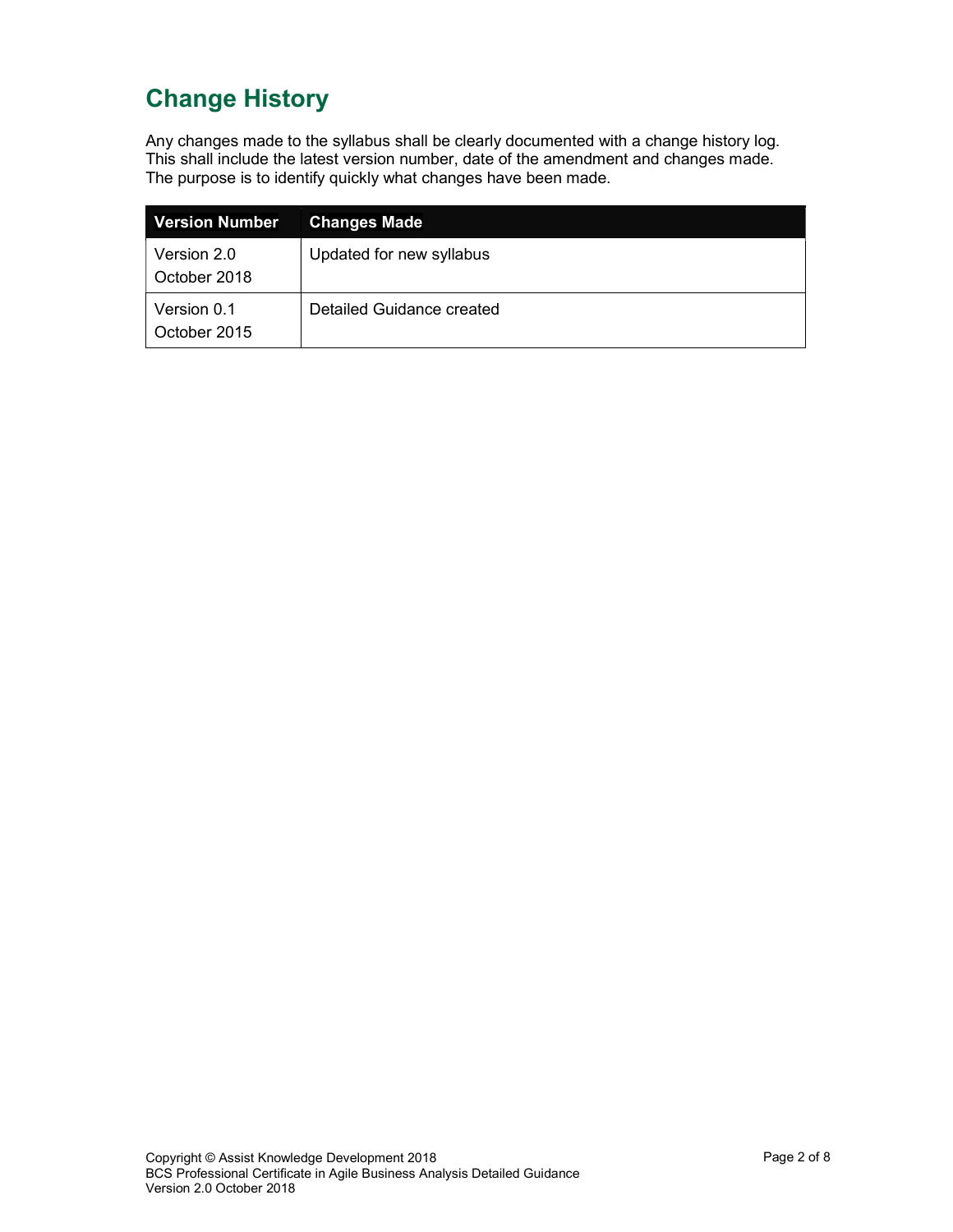# Change History

Any changes made to the syllabus shall be clearly documented with a change history log. This shall include the latest version number, date of the amendment and changes made. The purpose is to identify quickly what changes have been made.

| <b>Version Number</b>       | <b>Changes Made</b>       |
|-----------------------------|---------------------------|
| Version 2.0<br>October 2018 | Updated for new syllabus  |
| Version 0.1<br>October 2015 | Detailed Guidance created |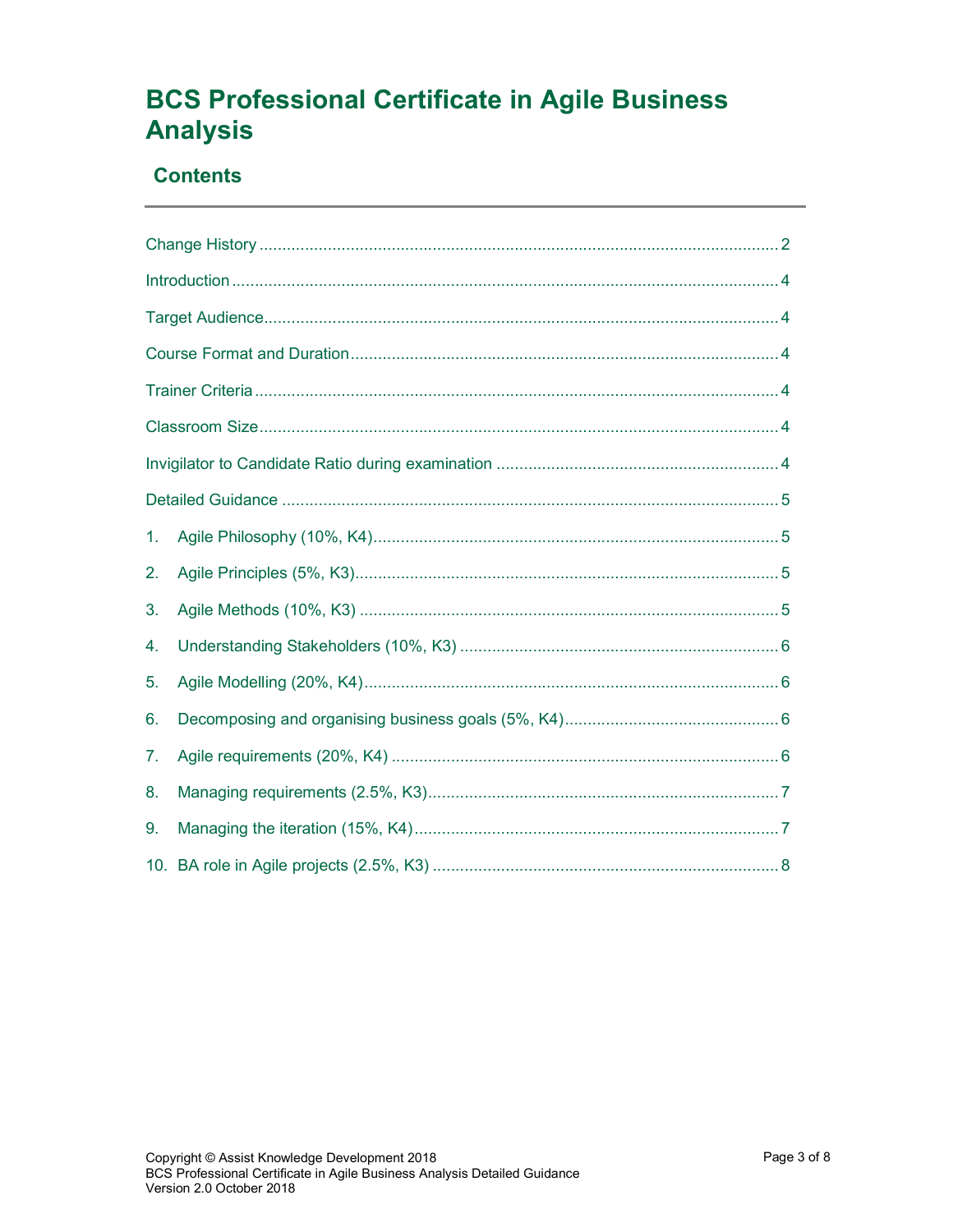# **BCS Professional Certificate in Agile Business Analysis**

### **Contents**

| 1. |  |  |  |  |
|----|--|--|--|--|
| 2. |  |  |  |  |
| 3. |  |  |  |  |
| 4. |  |  |  |  |
| 5. |  |  |  |  |
| 6. |  |  |  |  |
| 7. |  |  |  |  |
| 8. |  |  |  |  |
| 9. |  |  |  |  |
|    |  |  |  |  |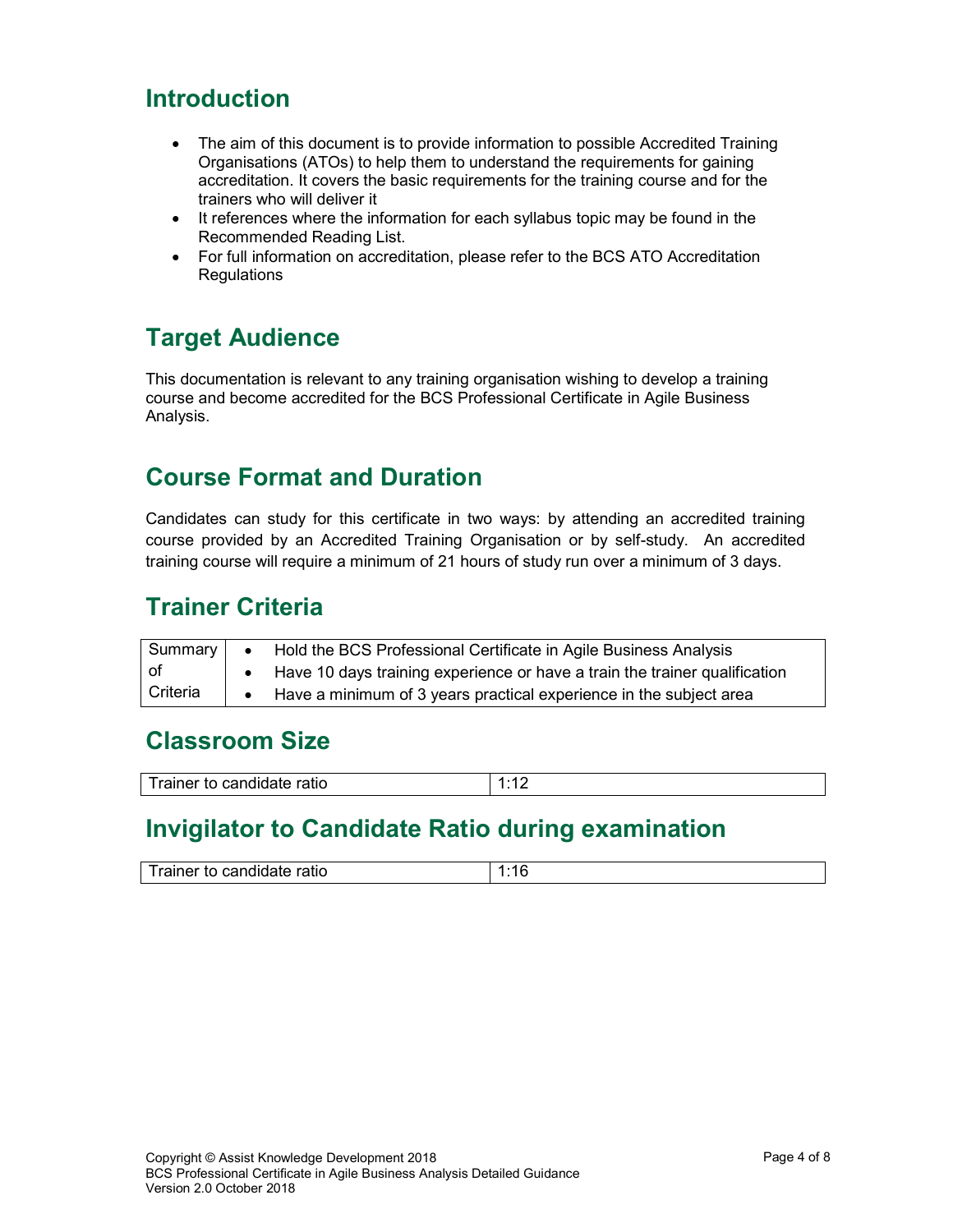### Introduction

- The aim of this document is to provide information to possible Accredited Training Organisations (ATOs) to help them to understand the requirements for gaining accreditation. It covers the basic requirements for the training course and for the trainers who will deliver it
- It references where the information for each syllabus topic may be found in the Recommended Reading List.
- For full information on accreditation, please refer to the BCS ATO Accreditation **Regulations**

## Target Audience

This documentation is relevant to any training organisation wishing to develop a training course and become accredited for the BCS Professional Certificate in Agile Business Analysis.

### Course Format and Duration

Candidates can study for this certificate in two ways: by attending an accredited training course provided by an Accredited Training Organisation or by self-study. An accredited training course will require a minimum of 21 hours of study run over a minimum of 3 days.

### Trainer Criteria

| Summary    | $\bullet$ $\bullet$ | Hold the BCS Professional Certificate in Agile Business Analysis           |
|------------|---------------------|----------------------------------------------------------------------------|
| of         |                     | Have 10 days training experience or have a train the trainer qualification |
| l Criteria |                     | • Have a minimum of 3 years practical experience in the subject area       |

### Classroom Size

| Trainer v<br>candidate ratio<br>. LO 1 | . л<br>. . |
|----------------------------------------|------------|

### Invigilator to Candidate Ratio during examination

| ------<br>.<br>.<br>- -<br>uner<br>'auc<br><br>'' الص |  |
|-------------------------------------------------------|--|
|                                                       |  |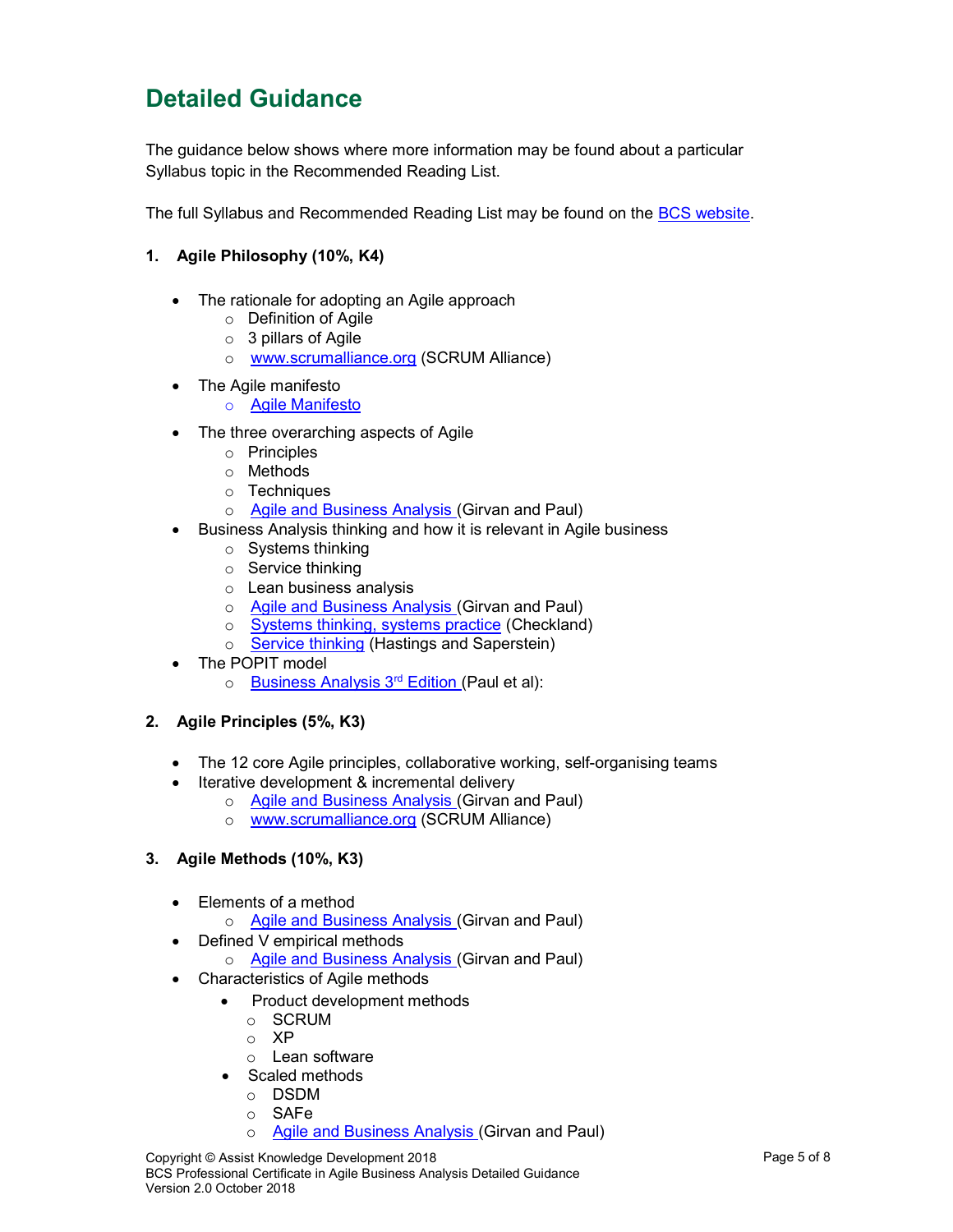## Detailed Guidance

The guidance below shows where more information may be found about a particular Syllabus topic in the Recommended Reading List.

The full Syllabus and Recommended Reading List may be found on the **BCS website**.

- 1. Agile Philosophy (10%, K4)
	- The rationale for adopting an Agile approach
		- o Definition of Agile
		- o 3 pillars of Agile
		- o www.scrumalliance.org (SCRUM Alliance)
	- The Agile manifesto o Agile Manifesto
	- The three overarching aspects of Agile
		- o Principles
		- o Methods
		- o Techniques
		- o Agile and Business Analysis (Girvan and Paul)
	- Business Analysis thinking and how it is relevant in Agile business
		- o Systems thinking
		- o Service thinking
		- o Lean business analysis
		- o Agile and Business Analysis (Girvan and Paul)
		- o Systems thinking, systems practice (Checkland)
		- o Service thinking (Hastings and Saperstein)
	- The POPIT model
		- o Business Analysis 3rd Edition (Paul et al):
- 2. Agile Principles (5%, K3)
	- The 12 core Agile principles, collaborative working, self-organising teams
	- Iterative development & incremental delivery
		- o Agile and Business Analysis (Girvan and Paul)
		- o www.scrumalliance.org (SCRUM Alliance)
- 3. Agile Methods (10%, K3)
	- Elements of a method
		- o Agile and Business Analysis (Girvan and Paul)
	- Defined V empirical methods
		- o Agile and Business Analysis (Girvan and Paul)
	- Characteristics of Agile methods
		- Product development methods
			- o SCRUM
			- o XP
			- o Lean software
		- Scaled methods
			- o DSDM
			- o SAFe
			- o Agile and Business Analysis (Girvan and Paul)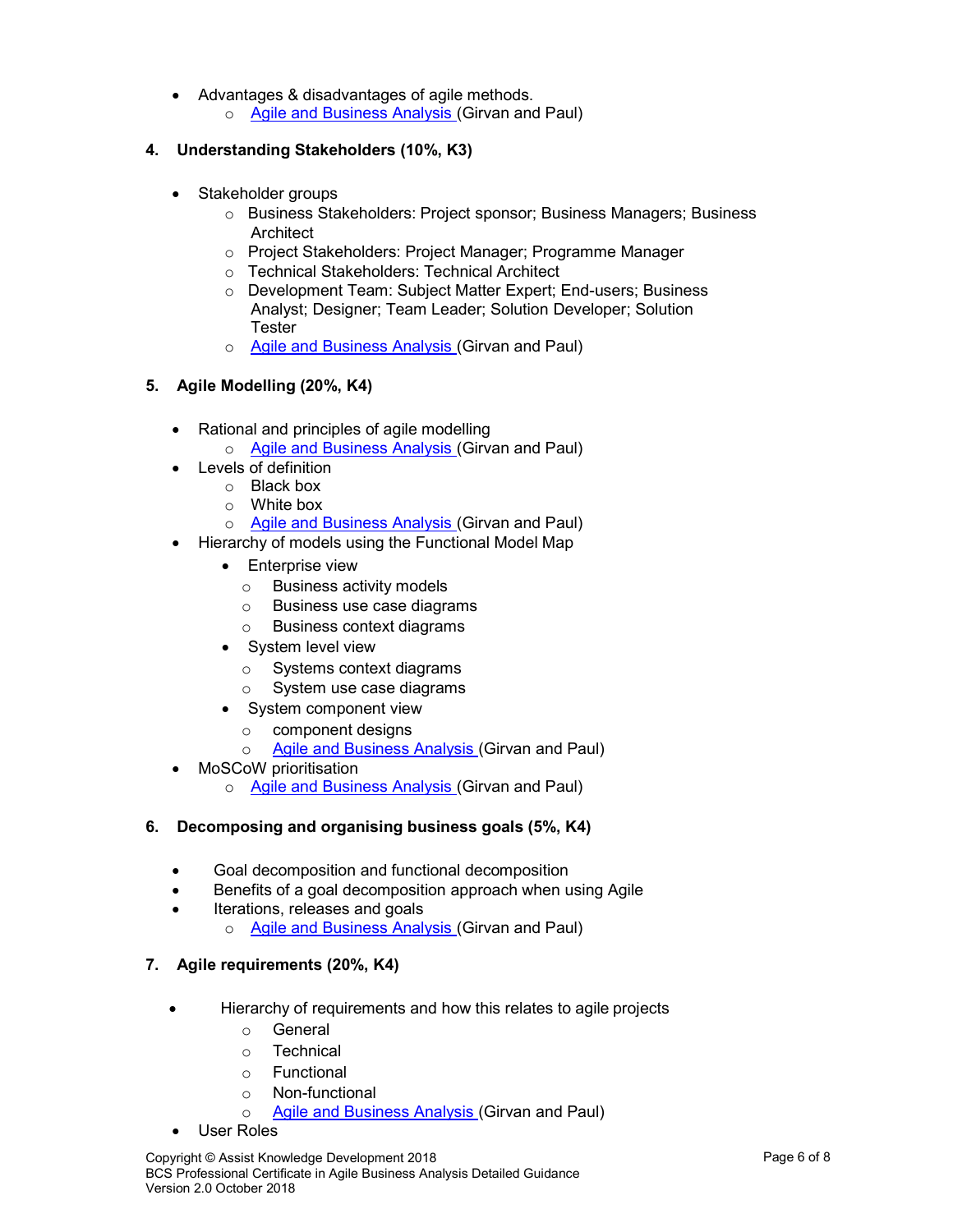- Advantages & disadvantages of agile methods.
	- o Agile and Business Analysis (Girvan and Paul)

#### 4. Understanding Stakeholders (10%, K3)

- Stakeholder groups
	- o Business Stakeholders: Project sponsor; Business Managers; Business **Architect**
	- o Project Stakeholders: Project Manager; Programme Manager
	- o Technical Stakeholders: Technical Architect
	- o Development Team: Subject Matter Expert; End-users; Business Analyst; Designer; Team Leader; Solution Developer; Solution Tester
	- o Agile and Business Analysis (Girvan and Paul)

#### 5. Agile Modelling (20%, K4)

- Rational and principles of agile modelling
	- o Agile and Business Analysis (Girvan and Paul)
- Levels of definition
	- o Black box
	- o White box
	- o Agile and Business Analysis (Girvan and Paul)
- Hierarchy of models using the Functional Model Map
	- **•** Enterprise view
		- o Business activity models
		- o Business use case diagrams
		- o Business context diagrams
	- System level view
		- o Systems context diagrams
		- System use case diagrams
	- System component view
		- o component designs
		- o Agile and Business Analysis (Girvan and Paul)
- MoSCoW prioritisation
	- o Agile and Business Analysis (Girvan and Paul)

#### 6. Decomposing and organising business goals (5%, K4)

- Goal decomposition and functional decomposition
- Benefits of a goal decomposition approach when using Agile
- Iterations, releases and goals
	- o Agile and Business Analysis (Girvan and Paul)

#### 7. Agile requirements (20%, K4)

- Hierarchy of requirements and how this relates to agile projects
	- o General
	- o Technical
	- o Functional
	- o Non-functional
	- o Agile and Business Analysis (Girvan and Paul)
- User Roles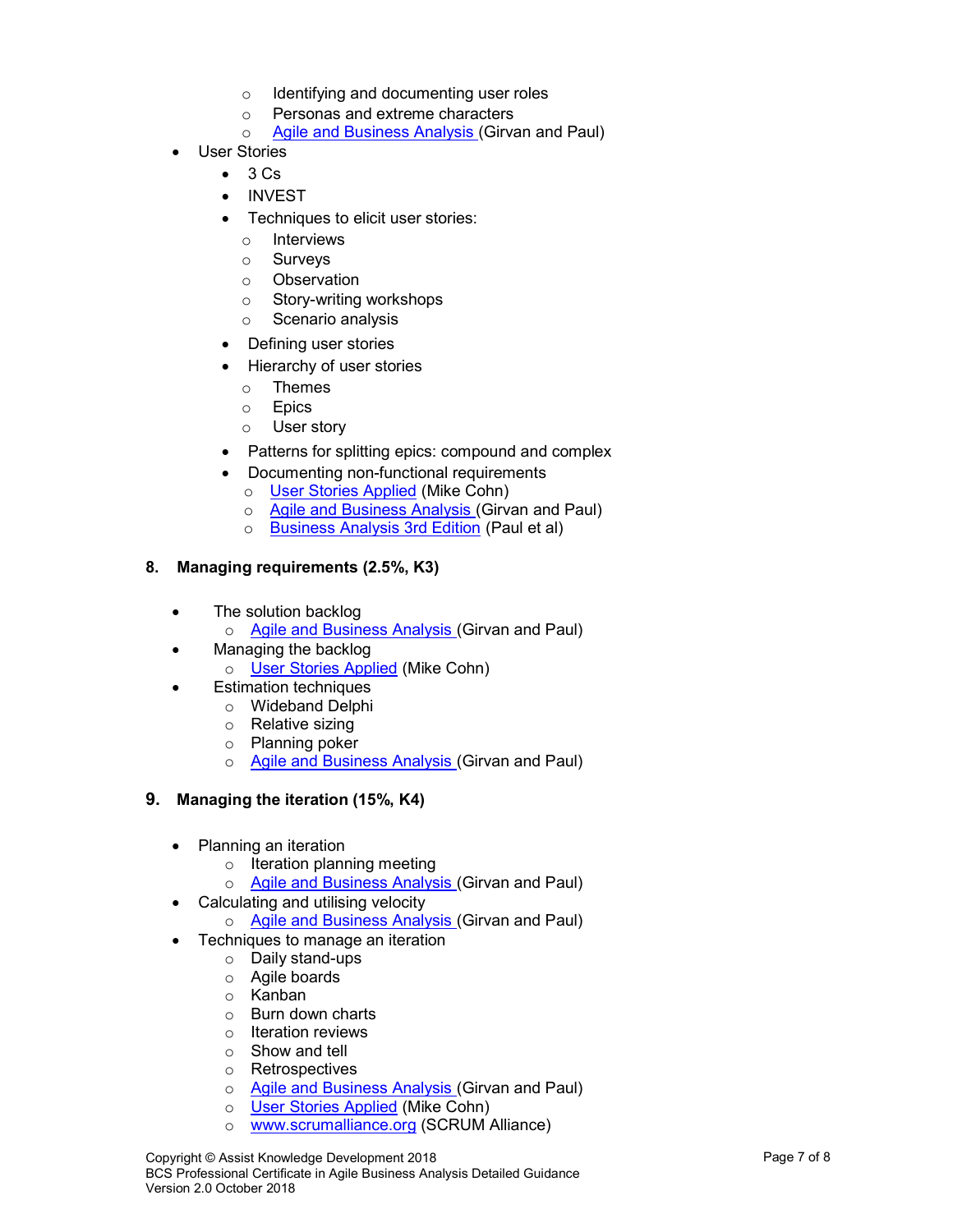- o Identifying and documenting user roles
- o Personas and extreme characters
- o Agile and Business Analysis (Girvan and Paul)
- User Stories
	- $-3 Cs$
	- INVEST
	- Techniques to elicit user stories:
		- o Interviews
		- o Surveys
		- o Observation
		- o Story-writing workshops
		- o Scenario analysis
	- Defining user stories
	- Hierarchy of user stories
		- o Themes
		- o Epics
		- o User story
	- Patterns for splitting epics: compound and complex
	- Documenting non-functional requirements
		- o User Stories Applied (Mike Cohn)
		- o Agile and Business Analysis (Girvan and Paul)
		- o Business Analysis 3rd Edition (Paul et al)

#### 8. Managing requirements (2.5%, K3)

- The solution backlog
	- o Agile and Business Analysis (Girvan and Paul)
- Managing the backlog
	- o User Stories Applied (Mike Cohn)
	- Estimation techniques
		- o Wideband Delphi
		- o Relative sizing
		- o Planning poker
		- o **Agile and Business Analysis (Girvan and Paul)**

#### 9. Managing the iteration (15%, K4)

- Planning an iteration
	- o Iteration planning meeting
	- o Agile and Business Analysis (Girvan and Paul)
- Calculating and utilising velocity
	- o Agile and Business Analysis (Girvan and Paul)
- Techniques to manage an iteration
	- o Daily stand-ups
	- o Agile boards
	- o Kanban
	- o Burn down charts
	- o Iteration reviews
	- o Show and tell
	- o Retrospectives
	- o Agile and Business Analysis (Girvan and Paul)
	- o User Stories Applied (Mike Cohn)
	- o www.scrumalliance.org (SCRUM Alliance)